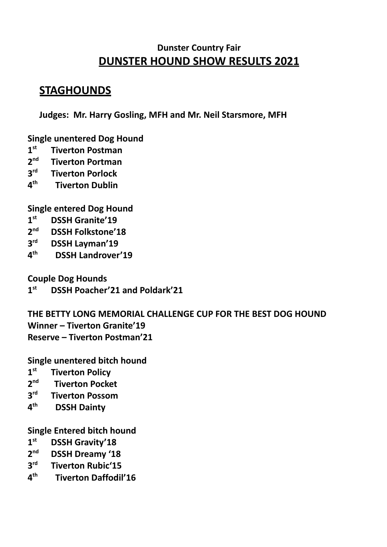### **Dunster Country Fair DUNSTER HOUND SHOW RESULTS 2021**

## **STAGHOUNDS**

**Judges: Mr. Harry Gosling, MFH and Mr. Neil Starsmore, MFH**

**Single unentered Dog Hound**

- **1 st Tiverton Postman**
- **2 nd Tiverton Portman**
- **3 Tiverton Porlock**
- $4<sup>th</sup>$ **th Tiverton Dublin**

**Single entered Dog Hound**

- **1 st DSSH Granite'19**
- 2<sup>nd</sup> **nd DSSH Folkstone'18**
- **3 rd DSSH Layman'19**
- $4<sup>th</sup>$ **th DSSH Landrover'19**

**Couple Dog Hounds**

**1 st DSSH Poacher'21 and Poldark'21**

**THE BETTY LONG MEMORIAL CHALLENGE CUP FOR THE BEST DOG HOUND Winner – Tiverton Granite'19 Reserve – Tiverton Postman'21**

**Single unentered bitch hound**

- **1 st Tiverton Policy**
- **2 nd Tiverton Pocket**
- **3 rd Tiverton Possom**
- **4 th DSSH Dainty**

**Single Entered bitch hound**

- **1 st DSSH Gravity'18**
- **2 DSSH Dreamy '18**
- **3 rd Tiverton Rubic'15**
- $A<sup>th</sup>$ **th Tiverton Daffodil'16**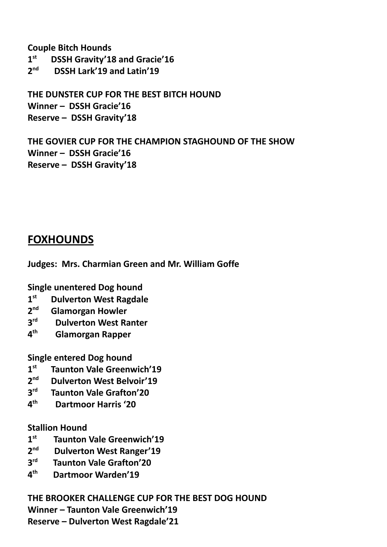**Couple Bitch Hounds**

 $1<sup>st</sup>$ **st DSSH Gravity'18 and Gracie'16**

2<sup>nd</sup> **nd DSSH Lark'19 and Latin'19**

**THE DUNSTER CUP FOR THE BEST BITCH HOUND Winner – DSSH Gracie'16 Reserve – DSSH Gravity'18**

**THE GOVIER CUP FOR THE CHAMPION STAGHOUND OF THE SHOW Winner – DSSH Gracie'16 Reserve – DSSH Gravity'18**

### **FOXHOUNDS**

**Judges: Mrs. Charmian Green and Mr. William Goffe**

**Single unentered Dog hound**

- **1 st Dulverton West Ragdale**
- $2<sup>nd</sup>$ **nd Glamorgan Howler**
- **3 Dulverton West Ranter**
- $4<sup>th</sup>$ **th Glamorgan Rapper**

**Single entered Dog hound**

- **1 st Taunton Vale Greenwich'19**
- 2<sup>nd</sup> **nd Dulverton West Belvoir'19**
- **3 Taunton Vale Grafton'20**
- $4<sup>th</sup>$ **th Dartmoor Harris '20**

#### **Stallion Hound**

- **1 st Taunton Vale Greenwich'19**
- 2<sup>nd</sup> **Dulverton West Ranger'19**
- $2<sup>rd</sup>$ **Taunton Vale Grafton'20**
- $A<sup>th</sup>$ **th Dartmoor Warden'19**

**THE BROOKER CHALLENGE CUP FOR THE BEST DOG HOUND**

**Winner – Taunton Vale Greenwich'19**

**Reserve – Dulverton West Ragdale'21**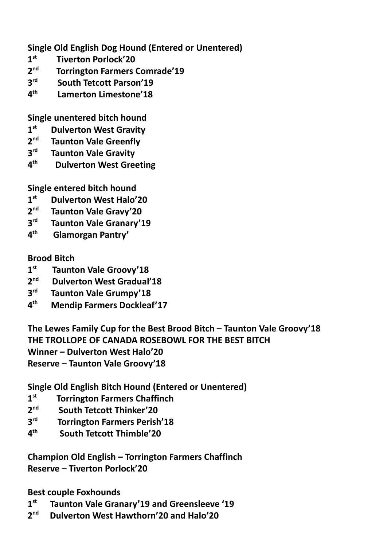**Single Old English Dog Hound (Entered or Unentered)**

- **1 st Tiverton Porlock'20**
- **2 nd Torrington Farmers Comrade'19**
- **3 rd South Tetcott Parson'19**
- **4 th Lamerton Limestone'18**

**Single unentered bitch hound**

- **1 st Dulverton West Gravity**
- 2<sup>nd</sup> **Taunton Vale Greenfly**
- **3 Taunton Vale Gravity**
- **4 th Dulverton West Greeting**

**Single entered bitch hound**

- **1 st Dulverton West Halo'20**
- **2 nd Taunton Vale Gravy'20**
- **3 Taunton Vale Granary'19**
- **4 th Glamorgan Pantry'**

#### **Brood Bitch**

- **1 st Taunton Vale Groovy'18**
- 2<sup>nd</sup> **Dulverton West Gradual'18**
- **3 Taunton Vale Grumpy'18**
- $4<sup>th</sup>$ **th Mendip Farmers Dockleaf'17**

**The Lewes Family Cup for the Best Brood Bitch – Taunton Vale Groovy'18 THE TROLLOPE OF CANADA ROSEBOWL FOR THE BEST BITCH Winner – Dulverton West Halo'20 Reserve – Taunton Vale Groovy'18**

**Single Old English Bitch Hound (Entered or Unentered)**

- **1 st Torrington Farmers Chaffinch**
- **2 nd South Tetcott Thinker'20**
- **3 Torrington Farmers Perish'18**
- **4 th South Tetcott Thimble'20**

**Champion Old English – Torrington Farmers Chaffinch Reserve – Tiverton Porlock'20**

**Best couple Foxhounds**

- **1 st Taunton Vale Granary'19 and Greensleeve '19**
- $2<sup>nd</sup>$ **nd Dulverton West Hawthorn'20 and Halo'20**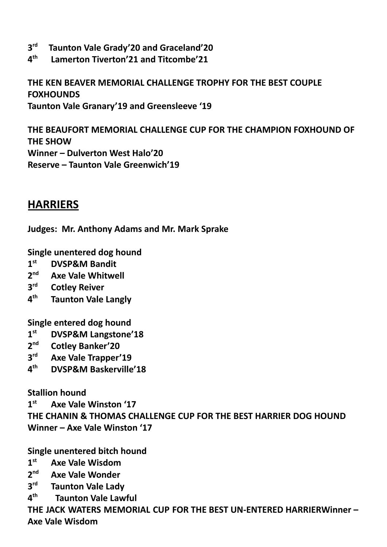- **3 rd Taunton Vale Grady'20 and Graceland'20**
- $\mathbf{A}^{\text{th}}$ **th Lamerton Tiverton'21 and Titcombe'21**

**THE KEN BEAVER MEMORIAL CHALLENGE TROPHY FOR THE BEST COUPLE FOXHOUNDS Taunton Vale Granary'19 and Greensleeve '19**

**THE BEAUFORT MEMORIAL CHALLENGE CUP FOR THE CHAMPION FOXHOUND OF THE SHOW Winner – Dulverton West Halo'20 Reserve – Taunton Vale Greenwich'19**

**HARRIERS**

**Judges: Mr. Anthony Adams and Mr. Mark Sprake**

**Single unentered dog hound**

- $1^{\text{st}}$ **st DVSP&M Bandit**
- $2<sup>nd</sup>$ **nd Axe Vale Whitwell**
- **3 Cotley Reiver**
- **4 th Taunton Vale Langly**

**Single entered dog hound**

- **1 st DVSP&M Langstone'18**
- 2<sup>nd</sup> **nd Cotley Banker'20**
- **3 rd Axe Vale Trapper'19**
- $4<sup>th</sup>$ **th DVSP&M Baskerville'18**

**Stallion hound**

**1 st Axe Vale Winston '17 THE CHANIN & THOMAS CHALLENGE CUP FOR THE BEST HARRIER DOG HOUND Winner – Axe Vale Winston '17**

**Single unentered bitch hound**

- $1<sup>st</sup>$ **st Axe Vale Wisdom**
- $2<sup>nd</sup>$ **nd Axe Vale Wonder**
- **3 Taunton Vale Lady**
- **4 th Taunton Vale Lawful**

**THE JACK WATERS MEMORIAL CUP FOR THE BEST UN-ENTERED HARRIERWinner – Axe Vale Wisdom**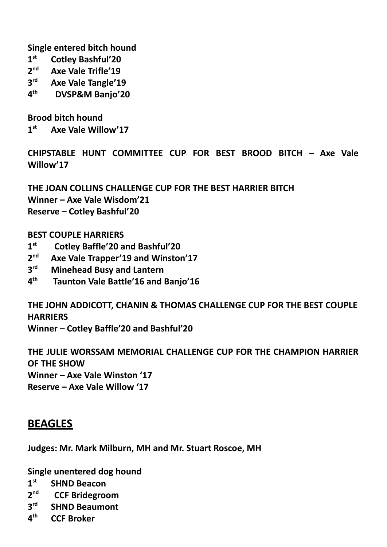**Single entered bitch hound**

- **1 st Cotley Bashful'20**
- 2<sup>nd</sup> **nd Axe Vale Trifle'19**
- **3 rd Axe Vale Tangle'19**
- **4 th DVSP&M Banjo'20**

**Brood bitch hound**

**1 st Axe Vale Willow'17**

**CHIPSTABLE HUNT COMMITTEE CUP FOR BEST BROOD BITCH – Axe Vale Willow'17**

**THE JOAN COLLINS CHALLENGE CUP FOR THE BEST HARRIER BITCH Winner – Axe Vale Wisdom'21 Reserve – Cotley Bashful'20**

#### **BEST COUPLE HARRIERS**

- **1 st Cotley Baffle'20 and Bashful'20**
- 2<sup>nd</sup> **nd Axe Vale Trapper'19 and Winston'17**
- **3 Minehead Busy and Lantern**
- **4 th Taunton Vale Battle'16 and Banjo'16**

**THE JOHN ADDICOTT, CHANIN & THOMAS CHALLENGE CUP FOR THE BEST COUPLE HARRIERS**

**Winner – Cotley Baffle'20 and Bashful'20**

**THE JULIE WORSSAM MEMORIAL CHALLENGE CUP FOR THE CHAMPION HARRIER OF THE SHOW Winner – Axe Vale Winston '17 Reserve – Axe Vale Willow '17**

### **BEAGLES**

**Judges: Mr. Mark Milburn, MH and Mr. Stuart Roscoe, MH**

**Single unentered dog hound**

- **1 st SHND Beacon**
- $2<sup>nd</sup>$ **nd CCF Bridegroom**
- **3 SHND Beaumont**
- $4<sup>th</sup>$ **th CCF Broker**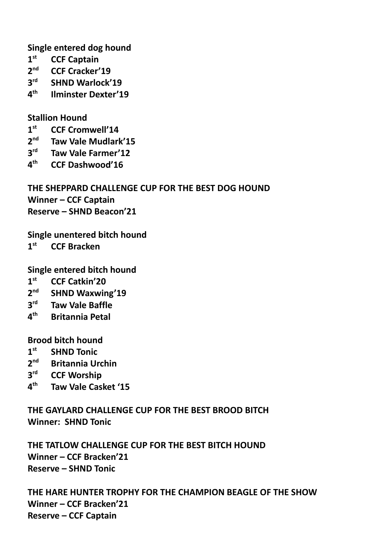**Single entered dog hound**

- **1 st CCF Captain**
- 2<sup>nd</sup> **nd CCF Cracker'19**
- **3 SHND Warlock'19**
- **4 th Ilminster Dexter'19**

#### **Stallion Hound**

- **1 st CCF Cromwell'14**
- **2 nd Taw Vale Mudlark'15**
- **3 rd Taw Vale Farmer'12**
- $4<sup>th</sup>$ **th CCF Dashwood'16**

**THE SHEPPARD CHALLENGE CUP FOR THE BEST DOG HOUND Winner – CCF Captain Reserve – SHND Beacon'21**

**Single unentered bitch hound**

**1 st CCF Bracken**

**Single entered bitch hound**

- **1 st CCF Catkin'20**
- **2 nd SHND Waxwing'19**
- **3 Taw Vale Baffle**
- $4<sup>th</sup>$ **th Britannia Petal**

#### **Brood bitch hound**

- **1 SHND Tonic**
- **2 nd Britannia Urchin**
- **3 CCF Worship**
- **4 th Taw Vale Casket '15**

**THE GAYLARD CHALLENGE CUP FOR THE BEST BROOD BITCH Winner: SHND Tonic**

**THE TATLOW CHALLENGE CUP FOR THE BEST BITCH HOUND Winner – CCF Bracken'21 Reserve – SHND Tonic**

**THE HARE HUNTER TROPHY FOR THE CHAMPION BEAGLE OF THE SHOW Winner – CCF Bracken'21 Reserve – CCF Captain**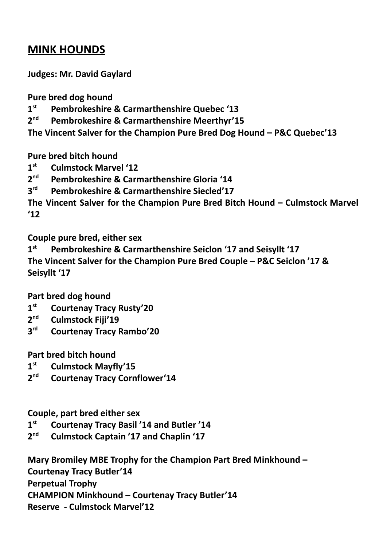# **MINK HOUNDS**

**Judges: Mr. David Gaylard**

**Pure bred dog hound**

**1 st Pembrokeshire & Carmarthenshire Quebec '13**

 $2<sup>nd</sup>$ **Pembrokeshire & Carmarthenshire Meerthyr'15** 

**The Vincent Salver for the Champion Pure Bred Dog Hound – P&C Quebec'13**

**Pure bred bitch hound**

**1 st Culmstock Marvel '12**

2<sup>nd</sup> **nd Pembrokeshire & Carmarthenshire Gloria '14**

 $3<sup>rd</sup>$ **Pembrokeshire & Carmarthenshire Siecled'17** 

**The Vincent Salver for the Champion Pure Bred Bitch Hound – Culmstock Marvel '12**

**Couple pure bred, either sex**

**1 st Pembrokeshire & Carmarthenshire Seiclon '17 and Seisyllt '17 The Vincent Salver for the Champion Pure Bred Couple – P&C Seiclon '17 & Seisyllt '17**

**Part bred dog hound**

- $1^{\text{st}}$ **st Courtenay Tracy Rusty'20**
- $2<sup>nd</sup>$ **nd Culmstock Fiji'19**
- **3 rd Courtenay Tracy Rambo'20**

**Part bred bitch hound**

- **1 st Culmstock Mayfly'15**
- $2<sup>nd</sup>$ **nd Courtenay Tracy Cornflower'14**

**Couple, part bred either sex**

**1**<sup>st</sup> **st Courtenay Tracy Basil '14 and Butler '14**

**2 nd Culmstock Captain '17 and Chaplin '17**

**Mary Bromiley MBE Trophy for the Champion Part Bred Minkhound – Courtenay Tracy Butler'14 Perpetual Trophy CHAMPION Minkhound – Courtenay Tracy Butler'14 Reserve - Culmstock Marvel'12**